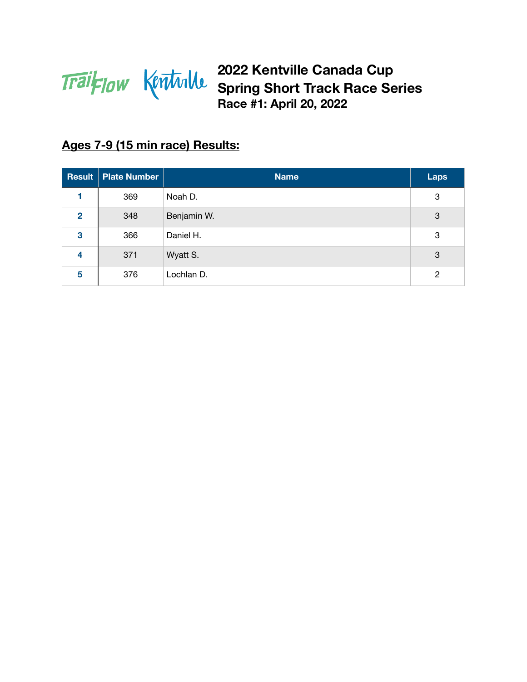

# **Ages 7-9 (15 min race) Results:**

|                | <b>Result Plate Number</b> | <b>Name</b> | <b>Laps</b> |
|----------------|----------------------------|-------------|-------------|
|                | 369                        | Noah D.     | 3           |
| $\overline{2}$ | 348                        | Benjamin W. | 3           |
| 3              | 366                        | Daniel H.   | 3           |
| 4              | 371                        | Wyatt S.    | 3           |
| 5              | 376                        | Lochlan D.  | 2           |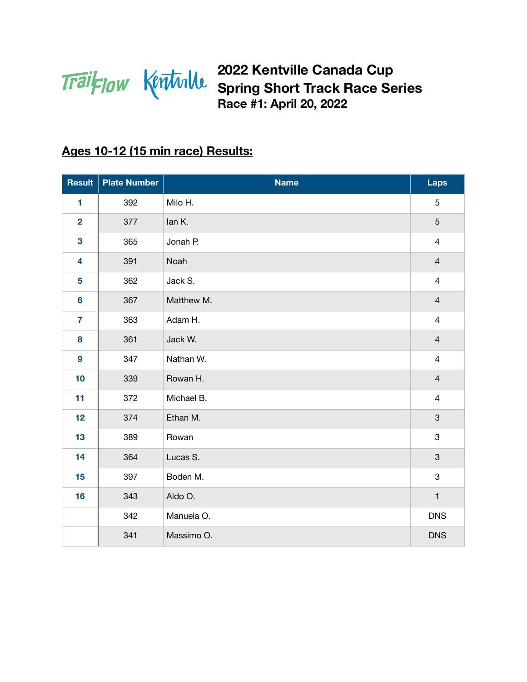

### **Ages 10-12 (15 min race) Results:**

| Result                  | <b>Plate Number</b> | <b>Name</b> | Laps                    |
|-------------------------|---------------------|-------------|-------------------------|
| 1                       | 392                 | Milo H.     | 5                       |
| $\overline{\mathbf{2}}$ | 377                 | lan K.      | 5                       |
| $\overline{\mathbf{3}}$ | 365                 | Jonah P.    | $\overline{4}$          |
| 4                       | 391                 | Noah        | $\overline{4}$          |
| 5                       | 362                 | Jack S.     | $\overline{4}$          |
| $6\phantom{a}$          | 367                 | Matthew M.  | $\overline{4}$          |
| $\overline{7}$          | 363                 | Adam H.     | $\overline{4}$          |
| 8                       | 361                 | Jack W.     | $\overline{4}$          |
| $\boldsymbol{9}$        | 347                 | Nathan W.   | $\overline{\mathbf{4}}$ |
| 10                      | 339                 | Rowan H.    | $\overline{4}$          |
| 11                      | 372                 | Michael B.  | $\overline{4}$          |
| 12                      | 374                 | Ethan M.    | $\mathbf{3}$            |
| 13                      | 389                 | Rowan       | $\,3$                   |
| 14                      | 364                 | Lucas S.    | $\mathbf{3}$            |
| 15                      | 397                 | Boden M.    | 3                       |
| 16                      | 343                 | Aldo O.     | $\mathbf{1}$            |
|                         | 342                 | Manuela O.  | <b>DNS</b>              |
|                         | 341                 | Massimo O.  | <b>DNS</b>              |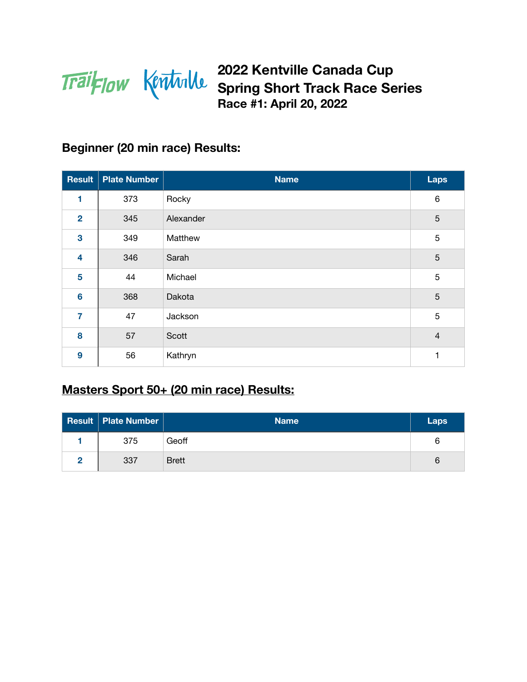

#### **Beginner (20 min race) Results:**

| <b>Result</b>           | <b>Plate Number</b> | <b>Name</b> | Laps           |
|-------------------------|---------------------|-------------|----------------|
| 1                       | 373                 | Rocky       | $\,6\,$        |
| $\overline{2}$          | 345                 | Alexander   | 5              |
| $\overline{\mathbf{3}}$ | 349                 | Matthew     | 5              |
| $\overline{\mathbf{4}}$ | 346                 | Sarah       | 5              |
| 5                       | 44                  | Michael     | 5              |
| $6\phantom{1}6$         | 368                 | Dakota      | 5              |
| $\overline{7}$          | 47                  | Jackson     | 5              |
| 8                       | 57                  | Scott       | $\overline{4}$ |
| 9                       | 56                  | Kathryn     | 1              |

# **Masters Sport 50+ (20 min race) Results:**

| <b>Result   Plate Number  </b> | <b>Name</b>  | Laps |
|--------------------------------|--------------|------|
| 375                            | Geoff        | 6    |
| 337                            | <b>Brett</b> | 6    |